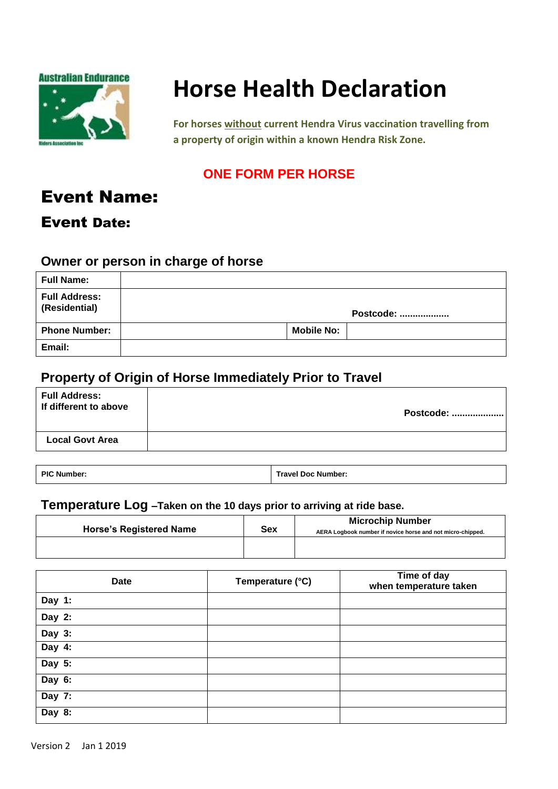

# **Horse Health Declaration**

**For horses without current Hendra Virus vaccination travelling from a property of origin within a known Hendra Risk Zone.**

## **ONE FORM PER HORSE**

## Event Name:

## Event Date:

### **Owner or person in charge of horse**

| <b>Full Name:</b>                     |                   |           |
|---------------------------------------|-------------------|-----------|
| <b>Full Address:</b><br>(Residential) |                   | Postcode: |
| <b>Phone Number:</b>                  | <b>Mobile No:</b> |           |
| Email:                                |                   |           |

## **Property of Origin of Horse Immediately Prior to Travel**

| <b>Full Address:</b><br>If different to above | Postcode: |
|-----------------------------------------------|-----------|
| <b>Local Govt Area</b>                        |           |
|                                               |           |

**PIC Number: Travel Doc Number:**

### **Temperature Log –Taken on the 10 days prior to arriving at ride base.**

| <b>Horse's Registered Name</b> | <b>Sex</b> | <b>Microchip Number</b><br>AERA Logbook number if novice horse and not micro-chipped. |
|--------------------------------|------------|---------------------------------------------------------------------------------------|
|                                |            |                                                                                       |

| <b>Date</b> | Temperature (°C) | Time of day<br>when temperature taken |
|-------------|------------------|---------------------------------------|
| Day 1:      |                  |                                       |
| Day 2:      |                  |                                       |
| Day 3:      |                  |                                       |
| Day $4:$    |                  |                                       |
| Day 5:      |                  |                                       |
| Day 6:      |                  |                                       |
| Day 7:      |                  |                                       |
| Day 8:      |                  |                                       |